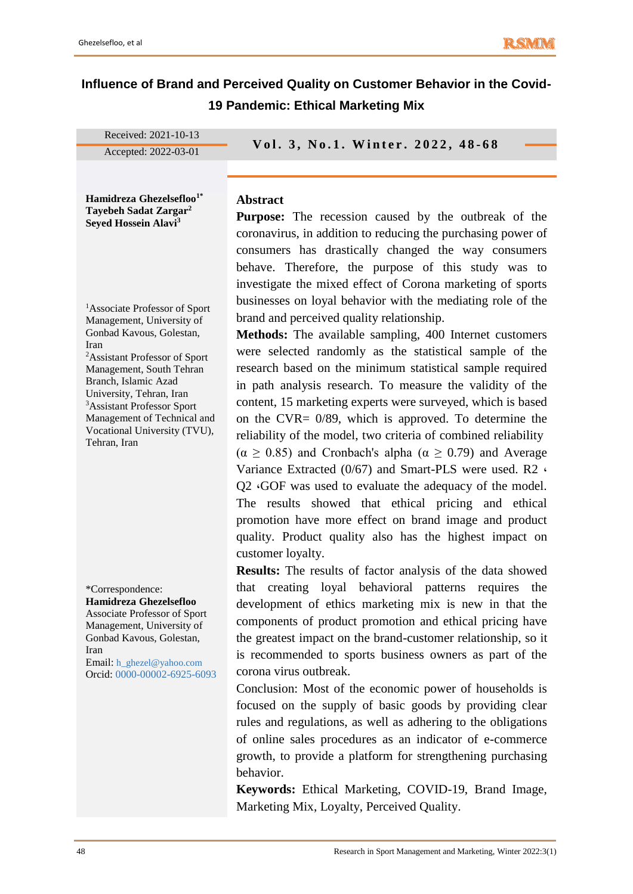# **Influence of Brand and Perceived Quality on Customer Behavior in the Covid-19 Pandemic: Ethical Marketing Mix**

| Received: 2021-10-13                                                                                                                                                                                                                    |                                                                                                                                                                                                                                                                                                                                                                 |
|-----------------------------------------------------------------------------------------------------------------------------------------------------------------------------------------------------------------------------------------|-----------------------------------------------------------------------------------------------------------------------------------------------------------------------------------------------------------------------------------------------------------------------------------------------------------------------------------------------------------------|
| Accepted: 2022-03-01                                                                                                                                                                                                                    | Vol. 3, No.1. Winter. 2022, 48-68                                                                                                                                                                                                                                                                                                                               |
|                                                                                                                                                                                                                                         |                                                                                                                                                                                                                                                                                                                                                                 |
| Hamidreza Ghezelsefloo <sup>1*</sup><br>Tayebeh Sadat Zargar <sup>2</sup><br>Seyed Hossein Alavi <sup>3</sup>                                                                                                                           | <b>Abstract</b><br><b>Purpose:</b> The recession caused by the outbreak of the<br>coronavirus, in addition to reducing the purchasing power of<br>consumers has drastically changed the way consumers<br>behave. Therefore, the purpose of this study was to<br>investigate the mixed effect of Corona marketing of sports                                      |
| <sup>1</sup> Associate Professor of Sport<br>Management, University of<br>Gonbad Kavous, Golestan,<br>Iran<br><sup>2</sup> Assistant Professor of Sport<br>Management, South Tehran<br>Branch, Islamic Azad<br>University, Tehran, Iran | businesses on loyal behavior with the mediating role of the<br>brand and perceived quality relationship.<br><b>Methods:</b> The available sampling, 400 Internet customers<br>were selected randomly as the statistical sample of the<br>research based on the minimum statistical sample required<br>in path analysis research. To measure the validity of the |
| <sup>3</sup> Assistant Professor Sport                                                                                                                                                                                                  | content, 15 marketing experts were surveyed, which is based                                                                                                                                                                                                                                                                                                     |

customer loyalty.

<sup>3</sup>Assistant Professor Sport Management of Technical and Vocational University (TVU), Tehran, Iran

\*Correspondence: **Hamidreza Ghezelsefloo** Associate Professor of Sport Management, University of Gonbad Kavous, Golestan,

Iran Email: h\_ghezel@yahoo.com Orcid: 0000-00002-6925-6093 **Results:** The results of factor analysis of the data showed that creating loyal behavioral patterns requires the development of ethics marketing mix is new in that the components of product promotion and ethical pricing have the greatest impact on the brand-customer relationship, so it is recommended to sports business owners as part of the corona virus outbreak.

on the CVR= 0/89, which is approved. To determine the reliability of the model, two criteria of combined reliability  $(α ≥ 0.85)$  and Cronbach's alpha  $(α ≥ 0.79)$  and Average Variance Extracted (0/67) and Smart-PLS were used. R2 **،** Q2 **،**GOF was used to evaluate the adequacy of the model. The results showed that ethical pricing and ethical promotion have more effect on brand image and product quality. Product quality also has the highest impact on

Conclusion: Most of the economic power of households is focused on the supply of basic goods by providing clear rules and regulations, as well as adhering to the obligations of online sales procedures as an indicator of e-commerce growth, to provide a platform for strengthening purchasing behavior.

**Keywords:** Ethical Marketing, COVID-19, Brand Image, Marketing Mix, Loyalty, Perceived Quality.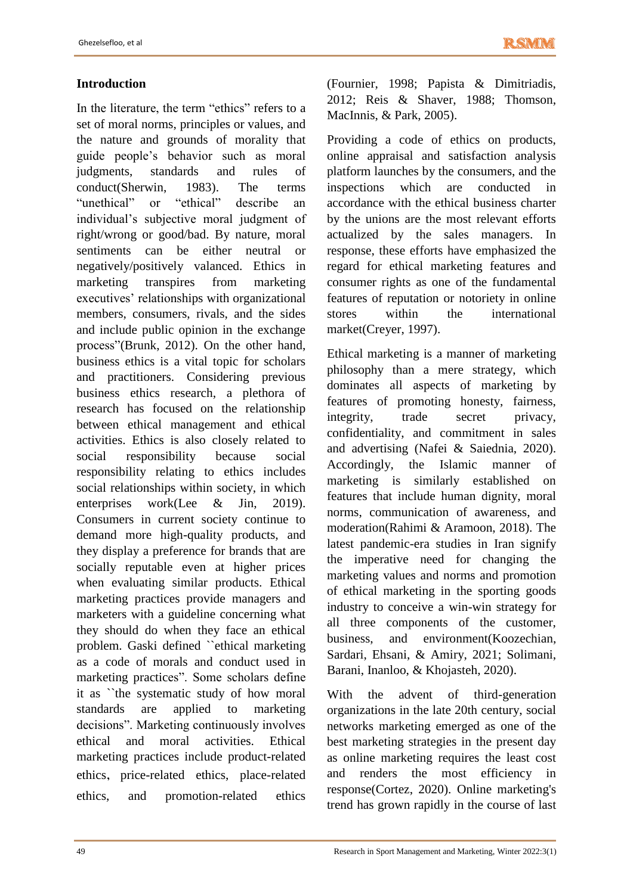# **Introduction**

In the literature, the term "ethics" refers to a set of moral norms, principles or values, and the nature and grounds of morality that guide people's behavior such as moral judgments, standards and rules of conduct(Sherwin, 1983). The terms "unethical" or "ethical" describe an individual's subjective moral judgment of right/wrong or good/bad. By nature, moral sentiments can be either neutral or negatively/positively valanced. Ethics in marketing transpires from marketing executives' relationships with organizational members, consumers, rivals, and the sides and include public opinion in the exchange process"(Brunk, 2012). On the other hand, business ethics is a vital topic for scholars and practitioners. Considering previous business ethics research, a plethora of research has focused on the relationship between ethical management and ethical activities. Ethics is also closely related to social responsibility because social responsibility relating to ethics includes social relationships within society, in which enterprises work(Lee & Jin, 2019). Consumers in current society continue to demand more high-quality products, and they display a preference for brands that are socially reputable even at higher prices when evaluating similar products. Ethical marketing practices provide managers and marketers with a guideline concerning what they should do when they face an ethical problem. Gaski defined ``ethical marketing as a code of morals and conduct used in marketing practices". Some scholars define it as ``the systematic study of how moral standards are applied to marketing decisions". Marketing continuously involves ethical and moral activities. Ethical marketing practices include product-related ethics, price-related ethics, place-related ethics, and promotion-related ethics

(Fournier, 1998; Papista & Dimitriadis, 2012; Reis & Shaver, 1988; Thomson, MacInnis, & Park, 2005).

Providing a code of ethics on products, online appraisal and satisfaction analysis platform launches by the consumers, and the inspections which are conducted in accordance with the ethical business charter by the unions are the most relevant efforts actualized by the sales managers. In response, these efforts have emphasized the regard for ethical marketing features and consumer rights as one of the fundamental features of reputation or notoriety in online stores within the international market(Creyer, 1997).

Ethical marketing is a manner of marketing philosophy than a mere strategy, which dominates all aspects of marketing by features of promoting honesty, fairness, integrity, trade secret privacy, confidentiality, and commitment in sales and advertising (Nafei & Saiednia, 2020). Accordingly, the Islamic manner of marketing is similarly established on features that include human dignity, moral norms, communication of awareness, and moderation(Rahimi & Aramoon, 2018). The latest pandemic-era studies in Iran signify the imperative need for changing the marketing values and norms and promotion of ethical marketing in the sporting goods industry to conceive a win-win strategy for all three components of the customer, business, and environment(Koozechian, Sardari, Ehsani, & Amiry, 2021; Solimani, Barani, Inanloo, & Khojasteh, 2020).

With the advent of third-generation organizations in the late 20th century, social networks marketing emerged as one of the best marketing strategies in the present day as online marketing requires the least cost and renders the most efficiency in response(Cortez, 2020). Online marketing's trend has grown rapidly in the course of last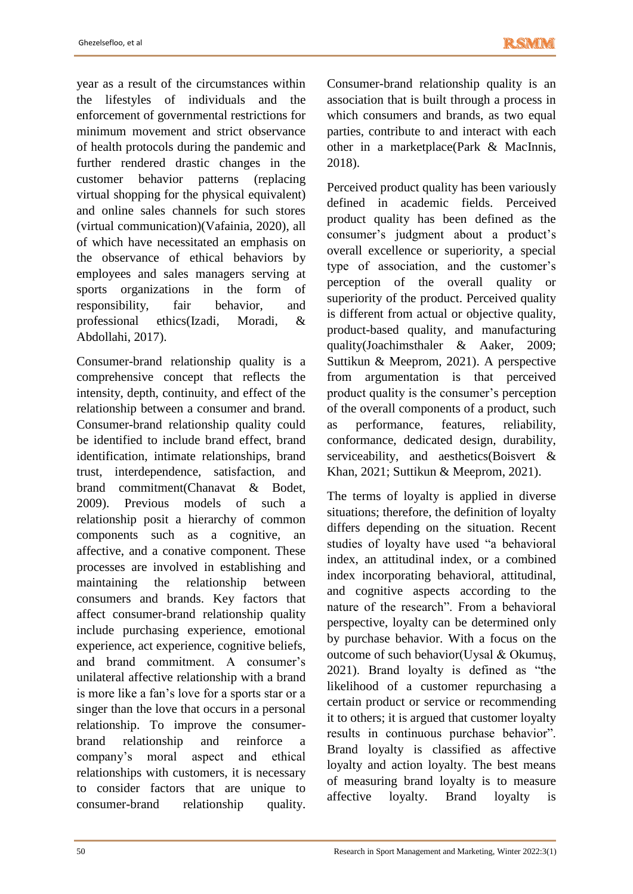year as a result of the circumstances within the lifestyles of individuals and the enforcement of governmental restrictions for minimum movement and strict observance of health protocols during the pandemic and further rendered drastic changes in the customer behavior patterns (replacing virtual shopping for the physical equivalent) and online sales channels for such stores (virtual communication)(Vafainia, 2020), all of which have necessitated an emphasis on the observance of ethical behaviors by employees and sales managers serving at sports organizations in the form of responsibility, fair behavior, and professional ethics(Izadi, Moradi, & Abdollahi, 2017).

Consumer-brand relationship quality is a comprehensive concept that reflects the intensity, depth, continuity, and effect of the relationship between a consumer and brand. Consumer-brand relationship quality could be identified to include brand effect, brand identification, intimate relationships, brand trust, interdependence, satisfaction, and brand commitment(Chanavat & Bodet, 2009). Previous models of such a relationship posit a hierarchy of common components such as a cognitive, an affective, and a conative component. These processes are involved in establishing and maintaining the relationship between consumers and brands. Key factors that affect consumer-brand relationship quality include purchasing experience, emotional experience, act experience, cognitive beliefs, and brand commitment. A consumer's unilateral affective relationship with a brand is more like a fan's love for a sports star or a singer than the love that occurs in a personal relationship. To improve the consumerbrand relationship and reinforce a company's moral aspect and ethical relationships with customers, it is necessary to consider factors that are unique to consumer-brand relationship quality.

Consumer-brand relationship quality is an association that is built through a process in which consumers and brands, as two equal parties, contribute to and interact with each other in a marketplace(Park & MacInnis, 2018).

Perceived product quality has been variously defined in academic fields. Perceived product quality has been defined as the consumer's judgment about a product's overall excellence or superiority, a special type of association, and the customer's perception of the overall quality or superiority of the product. Perceived quality is different from actual or objective quality, product-based quality, and manufacturing quality(Joachimsthaler & Aaker, 2009; Suttikun & Meeprom, 2021). A perspective from argumentation is that perceived product quality is the consumer's perception of the overall components of a product, such as performance, features, reliability, conformance, dedicated design, durability, serviceability, and aesthetics(Boisvert & Khan, 2021; Suttikun & Meeprom, 2021).

The terms of loyalty is applied in diverse situations; therefore, the definition of loyalty differs depending on the situation. Recent studies of loyalty have used "a behavioral index, an attitudinal index, or a combined index incorporating behavioral, attitudinal, and cognitive aspects according to the nature of the research". From a behavioral perspective, loyalty can be determined only by purchase behavior. With a focus on the outcome of such behavior(Uysal & Okumuş, 2021). Brand loyalty is defined as "the likelihood of a customer repurchasing a certain product or service or recommending it to others; it is argued that customer loyalty results in continuous purchase behavior". Brand loyalty is classified as affective loyalty and action loyalty. The best means of measuring brand loyalty is to measure affective loyalty. Brand loyalty is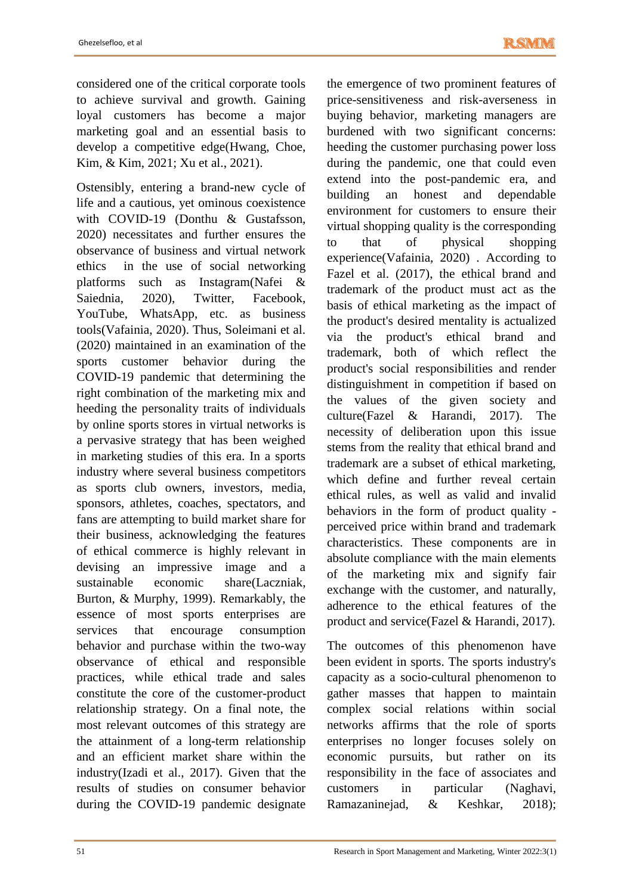considered one of the critical corporate tools to achieve survival and growth. Gaining loyal customers has become a major marketing goal and an essential basis to develop a competitive edge(Hwang, Choe, Kim, & Kim, 2021; Xu et al., 2021).

Ostensibly, entering a brand-new cycle of life and a cautious, yet ominous coexistence with COVID-19 (Donthu & Gustafsson, 2020) necessitates and further ensures the observance of business and virtual network ethics in the use of social networking<br>platforms such as Instagram(Nafei & such as Instagram(Nafei  $\&$ Saiednia, 2020), Twitter, Facebook, YouTube, WhatsApp, etc. as business tools(Vafainia, 2020). Thus, Soleimani et al. (2020) maintained in an examination of the sports customer behavior during the COVID-19 pandemic that determining the right combination of the marketing mix and heeding the personality traits of individuals by online sports stores in virtual networks is a pervasive strategy that has been weighed in marketing studies of this era. In a sports industry where several business competitors as sports club owners, investors, media, sponsors, athletes, coaches, spectators, and fans are attempting to build market share for their business, acknowledging the features of ethical commerce is highly relevant in devising an impressive image and a sustainable economic share(Laczniak, Burton, & Murphy, 1999). Remarkably, the essence of most sports enterprises are services that encourage consumption behavior and purchase within the two-way observance of ethical and responsible practices, while ethical trade and sales constitute the core of the customer-product relationship strategy. On a final note, the most relevant outcomes of this strategy are the attainment of a long-term relationship and an efficient market share within the industry(Izadi et al., 2017). Given that the results of studies on consumer behavior during the COVID-19 pandemic designate

the emergence of two prominent features of price-sensitiveness and risk-averseness in buying behavior, marketing managers are burdened with two significant concerns: heeding the customer purchasing power loss during the pandemic, one that could even extend into the post-pandemic era, and building an honest and dependable environment for customers to ensure their virtual shopping quality is the corresponding to that of physical shopping experience(Vafainia, 2020) . According to Fazel et al. (2017), the ethical brand and trademark of the product must act as the basis of ethical marketing as the impact of the product's desired mentality is actualized via the product's ethical brand and trademark, both of which reflect the product's social responsibilities and render distinguishment in competition if based on the values of the given society and culture(Fazel & Harandi, 2017). The necessity of deliberation upon this issue stems from the reality that ethical brand and trademark are a subset of ethical marketing, which define and further reveal certain ethical rules, as well as valid and invalid behaviors in the form of product quality perceived price within brand and trademark characteristics. These components are in absolute compliance with the main elements of the marketing mix and signify fair exchange with the customer, and naturally, adherence to the ethical features of the product and service(Fazel & Harandi, 2017).

The outcomes of this phenomenon have been evident in sports. The sports industry's capacity as a socio-cultural phenomenon to gather masses that happen to maintain complex social relations within social networks affirms that the role of sports enterprises no longer focuses solely on economic pursuits, but rather on its responsibility in the face of associates and customers in particular (Naghavi, Ramazaninejad, & Keshkar, 2018);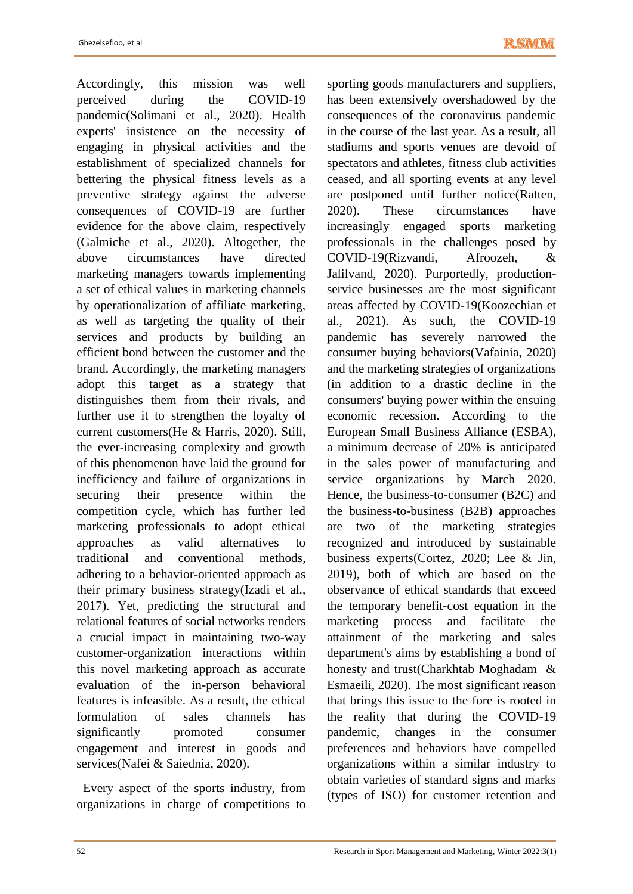Accordingly, this mission was well perceived during the COVID-19 pandemic(Solimani et al., 2020). Health experts' insistence on the necessity of engaging in physical activities and the establishment of specialized channels for bettering the physical fitness levels as a preventive strategy against the adverse consequences of COVID-19 are further evidence for the above claim, respectively (Galmiche et al., 2020). Altogether, the above circumstances have directed marketing managers towards implementing a set of ethical values in marketing channels by operationalization of affiliate marketing, as well as targeting the quality of their services and products by building an efficient bond between the customer and the brand. Accordingly, the marketing managers adopt this target as a strategy that distinguishes them from their rivals, and further use it to strengthen the loyalty of current customers(He & Harris, 2020). Still, the ever-increasing complexity and growth of this phenomenon have laid the ground for inefficiency and failure of organizations in securing their presence within the competition cycle, which has further led marketing professionals to adopt ethical approaches as valid alternatives to traditional and conventional methods, adhering to a behavior-oriented approach as their primary business strategy(Izadi et al., 2017). Yet, predicting the structural and relational features of social networks renders a crucial impact in maintaining two-way customer-organization interactions within this novel marketing approach as accurate evaluation of the in-person behavioral features is infeasible. As a result, the ethical formulation of sales channels has significantly promoted consumer engagement and interest in goods and services(Nafei & Saiednia, 2020).

 Every aspect of the sports industry, from organizations in charge of competitions to

sporting goods manufacturers and suppliers, has been extensively overshadowed by the consequences of the coronavirus pandemic in the course of the last year. As a result, all stadiums and sports venues are devoid of spectators and athletes, fitness club activities ceased, and all sporting events at any level are postponed until further notice(Ratten, 2020). These circumstances have increasingly engaged sports marketing professionals in the challenges posed by COVID-19(Rizvandi, Afroozeh, & Jalilvand, 2020). Purportedly, productionservice businesses are the most significant areas affected by COVID-19(Koozechian et al., 2021). As such, the COVID-19 pandemic has severely narrowed the consumer buying behaviors(Vafainia, 2020) and the marketing strategies of organizations (in addition to a drastic decline in the consumers' buying power within the ensuing economic recession. According to the European Small Business Alliance (ESBA), a minimum decrease of 20% is anticipated in the sales power of manufacturing and service organizations by March 2020. Hence, the business-to-consumer (B2C) and the business-to-business (B2B) approaches are two of the marketing strategies recognized and introduced by sustainable business experts(Cortez, 2020; Lee & Jin, 2019), both of which are based on the observance of ethical standards that exceed the temporary benefit-cost equation in the marketing process and facilitate the attainment of the marketing and sales department's aims by establishing a bond of honesty and trust(Charkhtab Moghadam & Esmaeili, 2020). The most significant reason that brings this issue to the fore is rooted in the reality that during the COVID-19 pandemic, changes in the consumer preferences and behaviors have compelled organizations within a similar industry to obtain varieties of standard signs and marks (types of ISO) for customer retention and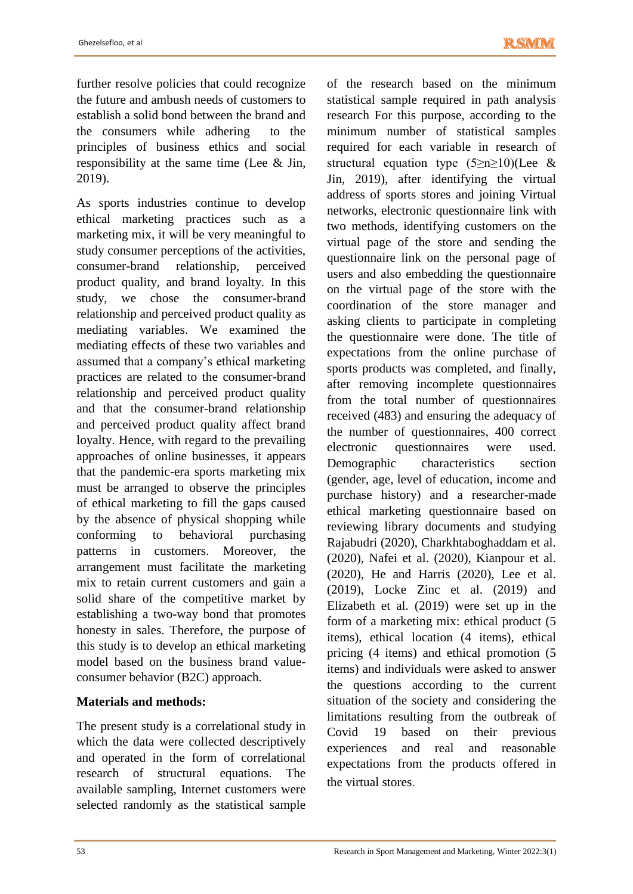further resolve policies that could recognize the future and ambush needs of customers to establish a solid bond between the brand and the consumers while adhering to the principles of business ethics and social responsibility at the same time (Lee & Jin, 2019).

As sports industries continue to develop ethical marketing practices such as a marketing mix, it will be very meaningful to study consumer perceptions of the activities, consumer-brand relationship, perceived product quality, and brand loyalty. In this study, we chose the consumer-brand relationship and perceived product quality as mediating variables. We examined the mediating effects of these two variables and assumed that a company's ethical marketing practices are related to the consumer-brand relationship and perceived product quality and that the consumer-brand relationship and perceived product quality affect brand loyalty. Hence, with regard to the prevailing approaches of online businesses, it appears that the pandemic-era sports marketing mix must be arranged to observe the principles of ethical marketing to fill the gaps caused by the absence of physical shopping while conforming to behavioral purchasing patterns in customers. Moreover, the arrangement must facilitate the marketing mix to retain current customers and gain a solid share of the competitive market by establishing a two-way bond that promotes honesty in sales. Therefore, the purpose of this study is to develop an ethical marketing model based on the business brand valueconsumer behavior (B2C) approach.

# **Materials and methods:**

The present study is a correlational study in which the data were collected descriptively and operated in the form of correlational research of structural equations. The available sampling, Internet customers were selected randomly as the statistical sample

of the research based on the minimum statistical sample required in path analysis research For this purpose, according to the minimum number of statistical samples required for each variable in research of structural equation type (5≥n≥10)(Lee & Jin, 2019), after identifying the virtual address of sports stores and joining Virtual networks, electronic questionnaire link with two methods, identifying customers on the virtual page of the store and sending the questionnaire link on the personal page of users and also embedding the questionnaire on the virtual page of the store with the coordination of the store manager and asking clients to participate in completing the questionnaire were done. The title of expectations from the online purchase of sports products was completed, and finally, after removing incomplete questionnaires from the total number of questionnaires received (483) and ensuring the adequacy of the number of questionnaires, 400 correct electronic questionnaires were used. Demographic characteristics section (gender, age, level of education, income and purchase history) and a researcher-made ethical marketing questionnaire based on reviewing library documents and studying Rajabudri (2020), Charkhtaboghaddam et al. (2020), Nafei et al. (2020), Kianpour et al. (2020), He and Harris (2020), Lee et al. (2019), Locke Zinc et al. (2019) and Elizabeth et al. (2019) were set up in the form of a marketing mix: ethical product (5 items), ethical location (4 items), ethical pricing (4 items) and ethical promotion (5 items) and individuals were asked to answer the questions according to the current situation of the society and considering the limitations resulting from the outbreak of Covid 19 based on their previous experiences and real and reasonable expectations from the products offered in the virtual stores.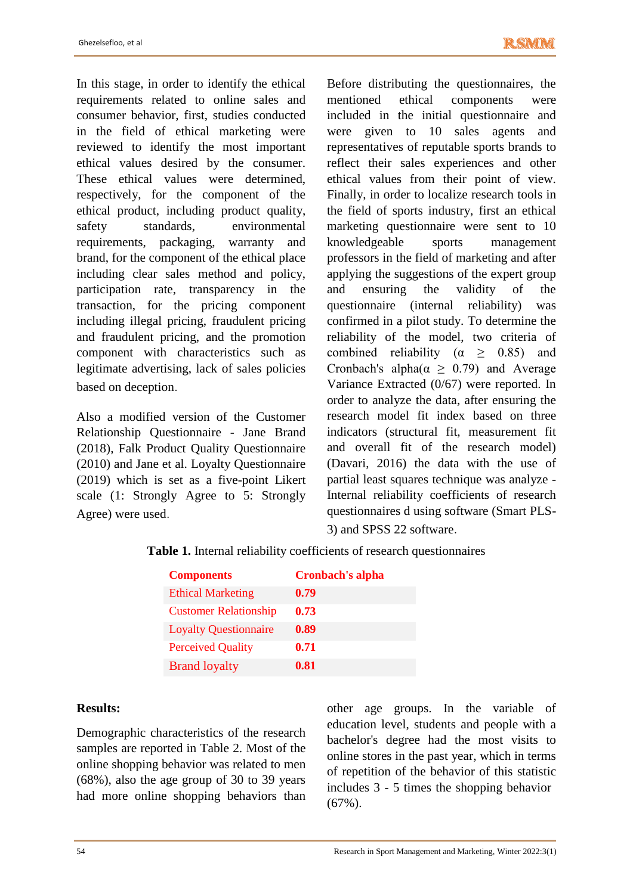In this stage, in order to identify the ethical requirements related to online sales and consumer behavior, first, studies conducted in the field of ethical marketing were reviewed to identify the most important ethical values desired by the consumer. These ethical values were determined, respectively, for the component of the ethical product, including product quality, safety standards, environmental requirements, packaging, warranty and brand, for the component of the ethical place including clear sales method and policy, participation rate, transparency in the transaction, for the pricing component including illegal pricing, fraudulent pricing and fraudulent pricing, and the promotion component with characteristics such as legitimate advertising, lack of sales policies based on deception.

Also a modified version of the Customer Relationship Questionnaire - Jane Brand (2018), Falk Product Quality Questionnaire (2010) and Jane et al. Loyalty Questionnaire (2019) which is set as a five-point Likert scale (1: Strongly Agree to 5: Strongly Agree) were used.

Before distributing the questionnaires, the mentioned ethical components were included in the initial questionnaire and were given to 10 sales agents and representatives of reputable sports brands to reflect their sales experiences and other ethical values from their point of view. Finally, in order to localize research tools in the field of sports industry, first an ethical marketing questionnaire were sent to 10 knowledgeable sports management professors in the field of marketing and after applying the suggestions of the expert group and ensuring the validity of the questionnaire (internal reliability) was confirmed in a pilot study. To determine the reliability of the model, two criteria of combined reliability ( $\alpha \geq 0.85$ ) and Cronbach's alpha $(\alpha \geq 0.79)$  and Average Variance Extracted (0/67) were reported. In order to analyze the data, after ensuring the research model fit index based on three indicators (structural fit, measurement fit and overall fit of the research model) (Davari, 2016) the data with the use of partial least squares technique was analyze - Internal reliability coefficients of research questionnaires d using software (Smart PLS-3) and SPSS 22 software.

|  | <b>Table 1.</b> Internal reliability coefficients of research questionnaires |  |  |  |
|--|------------------------------------------------------------------------------|--|--|--|
|  |                                                                              |  |  |  |

| <b>Components</b>            | <b>Cronbach's alpha</b> |
|------------------------------|-------------------------|
| <b>Ethical Marketing</b>     | 0.79                    |
| <b>Customer Relationship</b> | 0.73                    |
| <b>Loyalty Questionnaire</b> | 0.89                    |
| <b>Perceived Quality</b>     | 0.71                    |
| <b>Brand loyalty</b>         | 0.81                    |

#### **Results:**

Demographic characteristics of the research samples are reported in Table 2. Most of the online shopping behavior was related to men (68%), also the age group of 30 to 39 years had more online shopping behaviors than

other age groups. In the variable of education level, students and people with a bachelor's degree had the most visits to online stores in the past year, which in terms of repetition of the behavior of this statistic includes 3 - 5 times the shopping behavior (67%).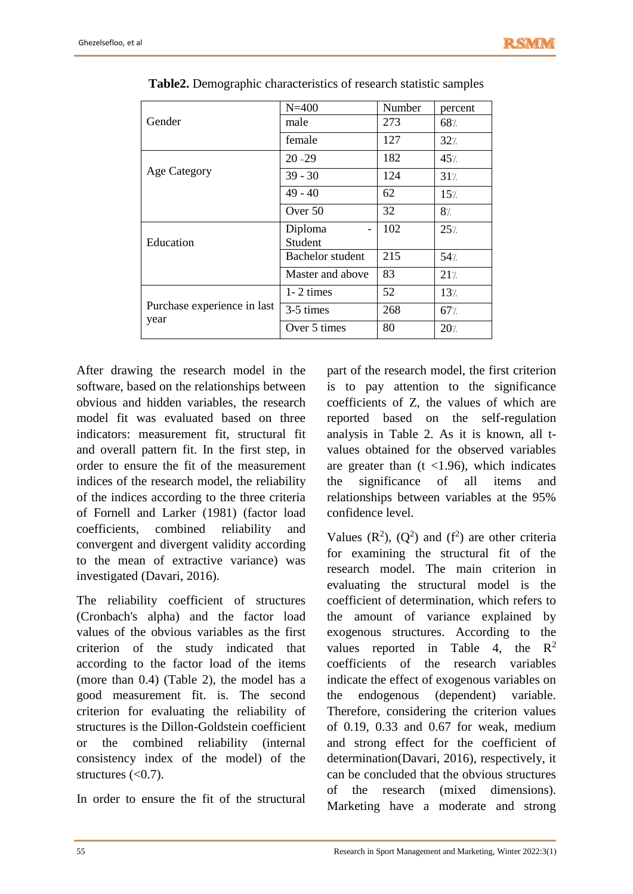|                                     | $N = 400$                           | Number | percent |
|-------------------------------------|-------------------------------------|--------|---------|
| Gender                              | male                                | 273    | 68%     |
|                                     | female                              | 127    | 32/     |
|                                     | $20 - 29$                           | 182    | 45/     |
| <b>Age Category</b>                 | $39 - 30$                           | 124    | 31/     |
|                                     | $49 - 40$                           | 62     | 15/     |
|                                     | Over 50                             | 32     | 8/      |
|                                     | Diploma<br>$\overline{\phantom{a}}$ | 102    | 25%     |
| Education                           | Student                             |        |         |
|                                     | <b>Bachelor</b> student             | 215    | 54/     |
|                                     | Master and above                    | 83     | 21/     |
|                                     | $1 - 2$ times                       | 52     | 13/     |
| Purchase experience in last<br>year | 3-5 times                           | 268    | 67/     |
|                                     | Over 5 times                        | 80     | 20/     |
|                                     |                                     |        |         |

| Table2. Demographic characteristics of research statistic samples |  |
|-------------------------------------------------------------------|--|
|-------------------------------------------------------------------|--|

After drawing the research model in the software, based on the relationships between obvious and hidden variables, the research model fit was evaluated based on three indicators: measurement fit, structural fit and overall pattern fit. In the first step, in order to ensure the fit of the measurement indices of the research model, the reliability of the indices according to the three criteria of Fornell and Larker (1981) (factor load coefficients, combined reliability and convergent and divergent validity according to the mean of extractive variance) was investigated (Davari, 2016).

The reliability coefficient of structures (Cronbach's alpha) and the factor load values of the obvious variables as the first criterion of the study indicated that according to the factor load of the items (more than 0.4) (Table 2), the model has a good measurement fit. is. The second criterion for evaluating the reliability of structures is the Dillon-Goldstein coefficient or the combined reliability (internal consistency index of the model) of the structures  $( $0.7$ ).$ 

In order to ensure the fit of the structural

part of the research model, the first criterion is to pay attention to the significance coefficients of Z, the values of which are reported based on the self-regulation analysis in Table 2. As it is known, all tvalues obtained for the observed variables are greater than  $(t \lt 1.96)$ , which indicates the significance of all items and relationships between variables at the 95% confidence level.

Values  $(R^2)$ ,  $(Q^2)$  and  $(f^2)$  are other criteria for examining the structural fit of the research model. The main criterion in evaluating the structural model is the coefficient of determination, which refers to the amount of variance explained by exogenous structures. According to the values reported in Table 4, the  $R^2$ coefficients of the research variables indicate the effect of exogenous variables on the endogenous (dependent) variable. Therefore, considering the criterion values of 0.19, 0.33 and 0.67 for weak, medium and strong effect for the coefficient of determination(Davari, 2016), respectively, it can be concluded that the obvious structures of the research (mixed dimensions). Marketing have a moderate and strong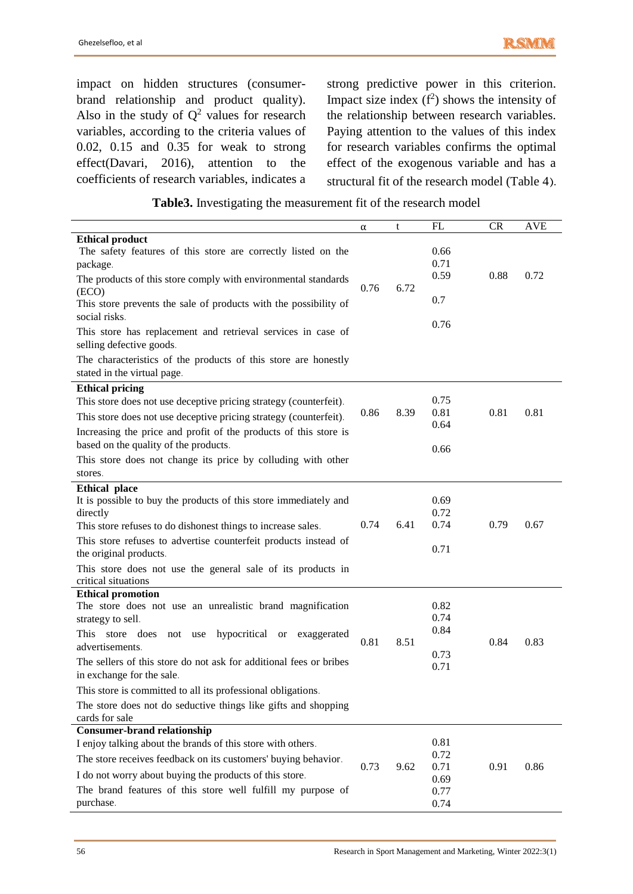impact on hidden structures (consumerbrand relationship and product quality). Also in the study of  $Q^2$  values for research variables, according to the criteria values of 0.02, 0.15 and 0.35 for weak to strong effect(Davari, 2016), attention to the coefficients of research variables, indicates a

strong predictive power in this criterion. Impact size index  $(f^2)$  shows the intensity of the relationship between research variables. Paying attention to the values of this index for research variables confirms the optimal effect of the exogenous variable and has a structural fit of the research model (Table 4).

|                                                                                               | α    | t    | FL           | CR   | <b>AVE</b> |
|-----------------------------------------------------------------------------------------------|------|------|--------------|------|------------|
| <b>Ethical product</b>                                                                        |      |      |              |      |            |
| The safety features of this store are correctly listed on the<br>package.                     |      |      | 0.66<br>0.71 |      |            |
| The products of this store comply with environmental standards<br>(ECO)                       | 0.76 | 6.72 | 0.59         | 0.88 | 0.72       |
| This store prevents the sale of products with the possibility of<br>social risks.             |      |      | 0.7          |      |            |
| This store has replacement and retrieval services in case of<br>selling defective goods.      |      |      | 0.76         |      |            |
| The characteristics of the products of this store are honestly<br>stated in the virtual page. |      |      |              |      |            |
| <b>Ethical pricing</b>                                                                        |      |      |              |      |            |
| This store does not use deceptive pricing strategy (counterfeit).                             |      |      | 0.75         |      |            |
| This store does not use deceptive pricing strategy (counterfeit).                             | 0.86 | 8.39 | 0.81         | 0.81 | 0.81       |
| Increasing the price and profit of the products of this store is                              |      |      | 0.64         |      |            |
| based on the quality of the products.                                                         |      |      | 0.66         |      |            |
| This store does not change its price by colluding with other                                  |      |      |              |      |            |
| stores.                                                                                       |      |      |              |      |            |
| <b>Ethical place</b>                                                                          |      |      |              |      |            |
| It is possible to buy the products of this store immediately and                              |      |      | 0.69         |      |            |
| directly<br>This store refuses to do dishonest things to increase sales.                      | 0.74 | 6.41 | 0.72<br>0.74 | 0.79 | 0.67       |
|                                                                                               |      |      |              |      |            |
| This store refuses to advertise counterfeit products instead of<br>the original products.     |      |      | 0.71         |      |            |
|                                                                                               |      |      |              |      |            |
| This store does not use the general sale of its products in<br>critical situations            |      |      |              |      |            |
| <b>Ethical promotion</b>                                                                      |      |      | 0.82         |      |            |
| The store does not use an unrealistic brand magnification<br>strategy to sell.                |      |      | 0.74         |      |            |
| hypocritical or exaggerated<br>This store does<br>not use                                     |      |      | 0.84         |      |            |
| advertisements.                                                                               | 0.81 | 8.51 |              | 0.84 | 0.83       |
| The sellers of this store do not ask for additional fees or bribes                            |      |      | 0.73         |      |            |
| in exchange for the sale.                                                                     |      |      | 0.71         |      |            |
| This store is committed to all its professional obligations.                                  |      |      |              |      |            |
| The store does not do seductive things like gifts and shopping                                |      |      |              |      |            |
| cards for sale                                                                                |      |      |              |      |            |
| <b>Consumer-brand relationship</b>                                                            |      |      |              |      |            |
| I enjoy talking about the brands of this store with others.                                   |      |      | 0.81         |      |            |
| The store receives feedback on its customers' buying behavior.                                | 0.73 | 9.62 | 0.72<br>0.71 | 0.91 | 0.86       |
| I do not worry about buying the products of this store.                                       |      |      | 0.69         |      |            |
| The brand features of this store well fulfill my purpose of                                   |      |      | 0.77         |      |            |
| purchase.                                                                                     |      |      | 0.74         |      |            |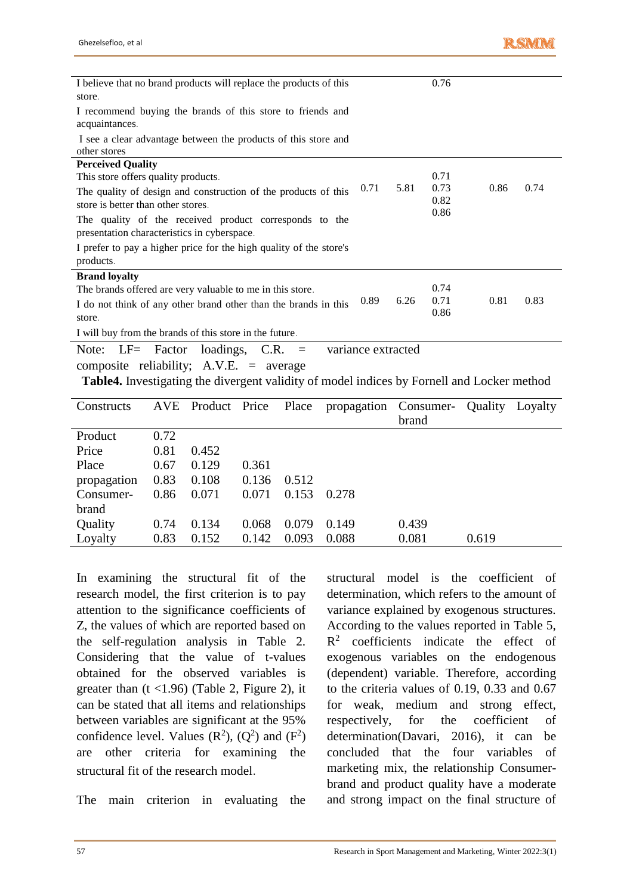| I believe that no brand products will replace the products of this |                    |      | 0.76 |      |      |
|--------------------------------------------------------------------|--------------------|------|------|------|------|
| store.                                                             |                    |      |      |      |      |
| I recommend buying the brands of this store to friends and         |                    |      |      |      |      |
| acquaintances.                                                     |                    |      |      |      |      |
| I see a clear advantage between the products of this store and     |                    |      |      |      |      |
| other stores                                                       |                    |      |      |      |      |
| <b>Perceived Quality</b>                                           |                    |      |      |      |      |
| This store offers quality products.                                |                    |      | 0.71 |      |      |
| The quality of design and construction of the products of this     | 0.71               | 5.81 | 0.73 | 0.86 | 0.74 |
| store is better than other stores.                                 |                    |      | 0.82 |      |      |
| The quality of the received product corresponds to the             |                    |      | 0.86 |      |      |
| presentation characteristics in cyberspace.                        |                    |      |      |      |      |
| I prefer to pay a higher price for the high quality of the store's |                    |      |      |      |      |
| products.                                                          |                    |      |      |      |      |
| <b>Brand loyalty</b>                                               |                    |      |      |      |      |
| The brands offered are very valuable to me in this store.          |                    |      | 0.74 |      |      |
| I do not think of any other brand other than the brands in this    | 0.89               | 6.26 | 0.71 | 0.81 | 0.83 |
| store.                                                             |                    |      | 0.86 |      |      |
| I will buy from the brands of this store in the future.            |                    |      |      |      |      |
| loadings,<br>$LF=$<br>Factor<br>$C.R. =$<br>Note:                  | variance extracted |      |      |      |      |
| composite reliability; A.V.E.<br>$=$ average                       |                    |      |      |      |      |

**Table4.** Investigating the divergent validity of model indices by Fornell and Locker method

| Constructs  |      | AVE Product Price Place |       |       | propagation Consumer- |       | Quality | Loyalty |
|-------------|------|-------------------------|-------|-------|-----------------------|-------|---------|---------|
|             |      |                         |       |       |                       | brand |         |         |
| Product     | 0.72 |                         |       |       |                       |       |         |         |
| Price       | 0.81 | 0.452                   |       |       |                       |       |         |         |
| Place       | 0.67 | 0.129                   | 0.361 |       |                       |       |         |         |
| propagation | 0.83 | 0.108                   | 0.136 | 0.512 |                       |       |         |         |
| Consumer-   | 0.86 | 0.071                   | 0.071 | 0.153 | 0.278                 |       |         |         |
| brand       |      |                         |       |       |                       |       |         |         |
| Quality     | 0.74 | 0.134                   | 0.068 | 0.079 | 0.149                 | 0.439 |         |         |
| Loyalty     | 0.83 | 0.152                   | 0.142 | 0.093 | 0.088                 | 0.081 | 0.619   |         |

In examining the structural fit of the research model, the first criterion is to pay attention to the significance coefficients of Z, the values of which are reported based on the self-regulation analysis in Table 2. Considering that the value of t-values obtained for the observed variables is greater than  $(t \le 1.96)$  (Table 2, Figure 2), it can be stated that all items and relationships between variables are significant at the 95% confidence level. Values  $(R^2)$ ,  $(Q^2)$  and  $(F^2)$ are other criteria for examining the structural fit of the research model.

The main criterion in evaluating the

structural model is the coefficient of determination, which refers to the amount of variance explained by exogenous structures. According to the values reported in Table 5,  $R<sup>2</sup>$  coefficients indicate the effect of exogenous variables on the endogenous (dependent) variable. Therefore, according to the criteria values of 0.19, 0.33 and 0.67 for weak, medium and strong effect, respectively, for the coefficient of determination(Davari, 2016), it can be concluded that the four variables of marketing mix, the relationship Consumerbrand and product quality have a moderate and strong impact on the final structure of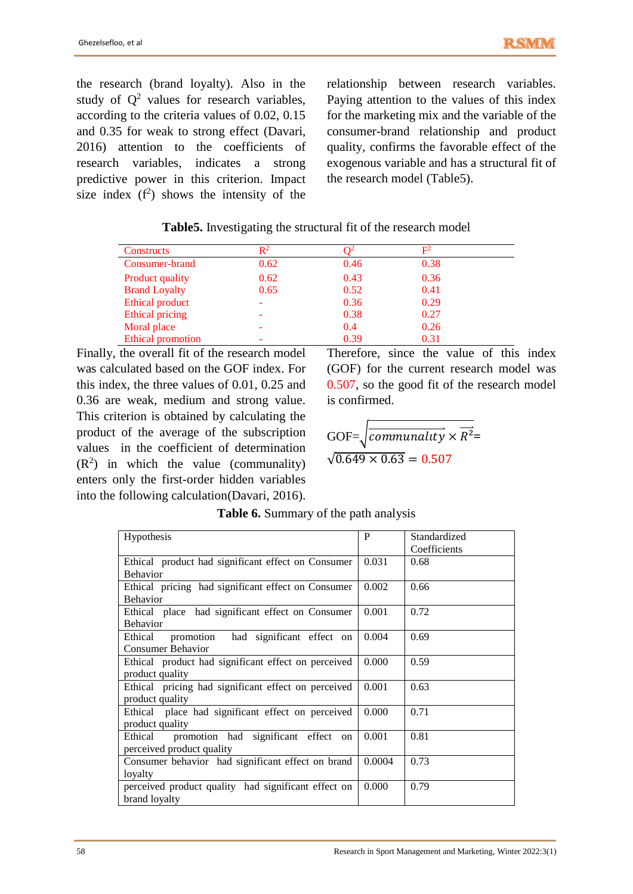the research (brand loyalty). Also in the study of  $Q^2$  values for research variables, according to the criteria values of 0.02, 0.15 and 0.35 for weak to strong effect (Davari, 2016) attention to the coefficients of research variables, indicates a strong predictive power in this criterion. Impact size index  $(f^2)$  shows the intensity of the

relationship between research variables. Paying attention to the values of this index for the marketing mix and the variable of the consumer-brand relationship and product quality, confirms the favorable effect of the exogenous variable and has a structural fit of the research model (Table5).

|  |  |  |  | Table5. Investigating the structural fit of the research model |
|--|--|--|--|----------------------------------------------------------------|
|--|--|--|--|----------------------------------------------------------------|

| Constructs               | $\mathbf{R}^2$ |      | $\mathbf{E}^2$ |  |
|--------------------------|----------------|------|----------------|--|
| Consumer-brand           | 0.62           | 0.46 | 0.38           |  |
| <b>Product quality</b>   | 0.62           | 0.43 | 0.36           |  |
| <b>Brand Loyalty</b>     | 0.65           | 0.52 | 0.41           |  |
| Ethical product          |                | 0.36 | 0.29           |  |
| <b>Ethical pricing</b>   |                | 0.38 | 0.27           |  |
| Moral place              |                | 0.4  | 0.26           |  |
| <b>Ethical promotion</b> |                | 0.39 | 0.31           |  |

Finally, the overall fit of the research model was calculated based on the GOF index. For this index, the three values of 0.01, 0.25 and 0.36 are weak, medium and strong value. This criterion is obtained by calculating the product of the average of the subscription values in the coefficient of determination  $(R<sup>2</sup>)$  in which the value (communality) enters only the first-order hidden variables into the following calculation(Davari, 2016).

Therefore, since the value of this index (GOF) for the current research model was 0.507, so the good fit of the research model is confirmed.

GOF=
$$
\sqrt{communality \times \overline{R^2}}
$$
=  
 $\sqrt{0.649 \times 0.63} = 0.507$ 

| Hypothesis                                          | P      | Standardized |
|-----------------------------------------------------|--------|--------------|
|                                                     |        | Coefficients |
| Ethical product had significant effect on Consumer  | 0.031  | 0.68         |
| <b>Behavior</b>                                     |        |              |
| Ethical pricing had significant effect on Consumer  | 0.002  | 0.66         |
| <b>Behavior</b>                                     |        |              |
| Ethical place had significant effect on Consumer    | 0.001  | 0.72         |
| <b>Behavior</b>                                     |        |              |
| promotion had significant effect on<br>Ethical      | 0.004  | 0.69         |
| <b>Consumer Behavior</b>                            |        |              |
| Ethical product had significant effect on perceived | 0.000  | 0.59         |
| product quality                                     |        |              |
| Ethical pricing had significant effect on perceived | 0.001  | 0.63         |
| product quality                                     |        |              |
| Ethical place had significant effect on perceived   | 0.000  | 0.71         |
| product quality                                     |        |              |
| Ethical promotion had significant effect on         | 0.001  | 0.81         |
| perceived product quality                           |        |              |
| Consumer behavior had significant effect on brand   | 0.0004 | 0.73         |
| loyalty                                             |        |              |
| perceived product quality had significant effect on | 0.000  | 0.79         |
| brand loyalty                                       |        |              |

**Table 6.** Summary of the path analysis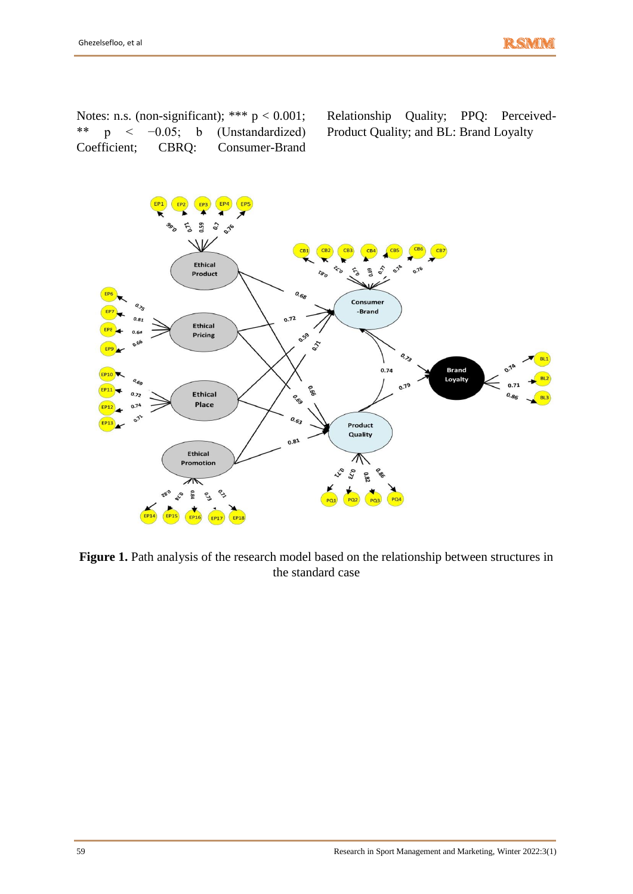Notes: n.s. (non-significant); \*\*\*  $p < 0.001$ ; \*\* p < −0.05; b (Unstandardized) Coefficient; CBRQ: Consumer-Brand Relationship Quality; PPQ: Perceived-Product Quality; and BL: Brand Loyalty



**Figure 1.** Path analysis of the research model based on the relationship between structures in the standard case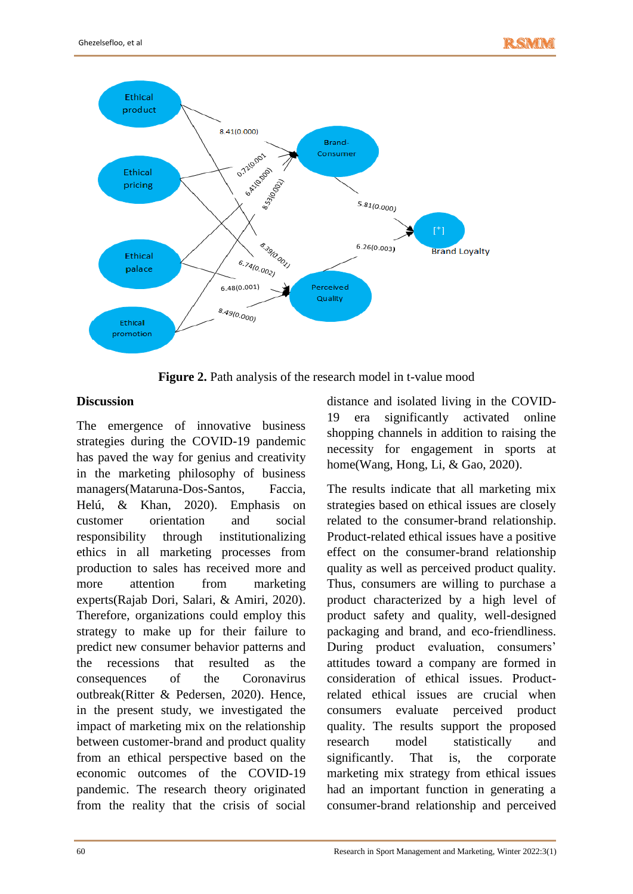

**Figure 2.** Path analysis of the research model in t-value mood

# **Discussion**

The emergence of innovative business strategies during the COVID-19 pandemic has paved the way for genius and creativity in the marketing philosophy of business managers(Mataruna-Dos-Santos, Faccia, Helú, & Khan, 2020). Emphasis on customer orientation and social responsibility through institutionalizing ethics in all marketing processes from production to sales has received more and more attention from marketing experts(Rajab Dori, Salari, & Amiri, 2020). Therefore, organizations could employ this strategy to make up for their failure to predict new consumer behavior patterns and the recessions that resulted as the consequences of the Coronavirus outbreak(Ritter & Pedersen, 2020). Hence, in the present study, we investigated the impact of marketing mix on the relationship between customer-brand and product quality from an ethical perspective based on the economic outcomes of the COVID-19 pandemic. The research theory originated from the reality that the crisis of social

distance and isolated living in the COVID-19 era significantly activated online shopping channels in addition to raising the necessity for engagement in sports at home(Wang, Hong, Li, & Gao, 2020).

The results indicate that all marketing mix strategies based on ethical issues are closely related to the consumer-brand relationship. Product-related ethical issues have a positive effect on the consumer-brand relationship quality as well as perceived product quality. Thus, consumers are willing to purchase a product characterized by a high level of product safety and quality, well-designed packaging and brand, and eco-friendliness. During product evaluation, consumers' attitudes toward a company are formed in consideration of ethical issues. Productrelated ethical issues are crucial when consumers evaluate perceived product quality. The results support the proposed research model statistically and significantly. That is, the corporate marketing mix strategy from ethical issues had an important function in generating a consumer-brand relationship and perceived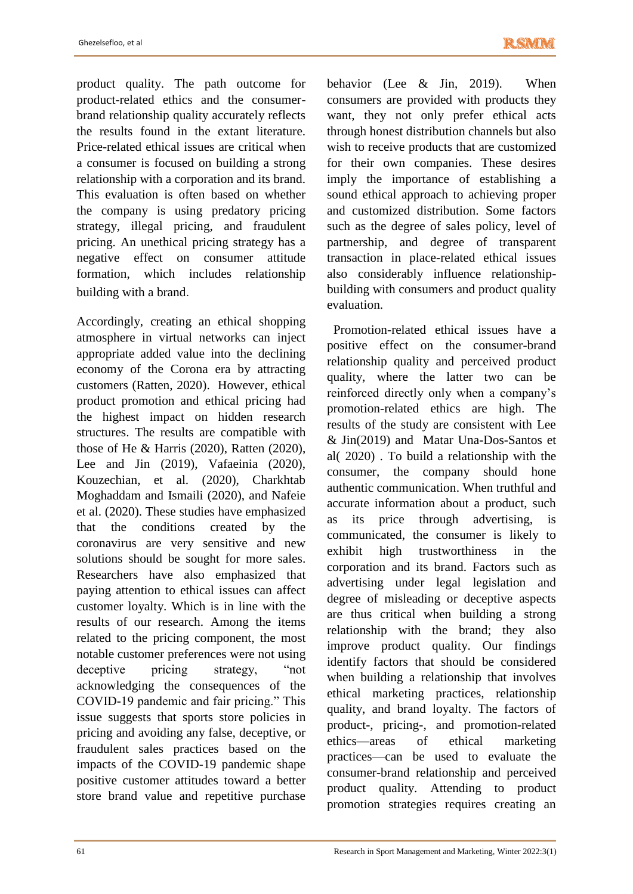product quality. The path outcome for product-related ethics and the consumerbrand relationship quality accurately reflects the results found in the extant literature. Price-related ethical issues are critical when a consumer is focused on building a strong relationship with a corporation and its brand. This evaluation is often based on whether the company is using predatory pricing strategy, illegal pricing, and fraudulent pricing. An unethical pricing strategy has a negative effect on consumer attitude formation, which includes relationship building with a brand.

Accordingly, creating an ethical shopping atmosphere in virtual networks can inject appropriate added value into the declining economy of the Corona era by attracting customers (Ratten, 2020). However, ethical product promotion and ethical pricing had the highest impact on hidden research structures. The results are compatible with those of He & Harris (2020), Ratten (2020), Lee and Jin (2019), Vafaeinia (2020), Kouzechian, et al. (2020), Charkhtab Moghaddam and Ismaili (2020), and Nafeie et al. (2020). These studies have emphasized that the conditions created by the coronavirus are very sensitive and new solutions should be sought for more sales. Researchers have also emphasized that paying attention to ethical issues can affect customer loyalty. Which is in line with the results of our research. Among the items related to the pricing component, the most notable customer preferences were not using deceptive pricing strategy, "not acknowledging the consequences of the COVID-19 pandemic and fair pricing." This issue suggests that sports store policies in pricing and avoiding any false, deceptive, or fraudulent sales practices based on the impacts of the COVID-19 pandemic shape positive customer attitudes toward a better store brand value and repetitive purchase behavior (Lee & Jin, 2019). When consumers are provided with products they want, they not only prefer ethical acts through honest distribution channels but also wish to receive products that are customized for their own companies. These desires imply the importance of establishing a sound ethical approach to achieving proper and customized distribution. Some factors such as the degree of sales policy, level of partnership, and degree of transparent transaction in place-related ethical issues also considerably influence relationshipbuilding with consumers and product quality evaluation.

 Promotion-related ethical issues have a positive effect on the consumer-brand relationship quality and perceived product quality, where the latter two can be reinforced directly only when a company's promotion-related ethics are high. The results of the study are consistent with Lee & Jin(2019) and Matar Una-Dos-Santos et al( 2020) . To build a relationship with the consumer, the company should hone authentic communication. When truthful and accurate information about a product, such as its price through advertising, is communicated, the consumer is likely to exhibit high trustworthiness in the corporation and its brand. Factors such as advertising under legal legislation and degree of misleading or deceptive aspects are thus critical when building a strong relationship with the brand; they also improve product quality. Our findings identify factors that should be considered when building a relationship that involves ethical marketing practices, relationship quality, and brand loyalty. The factors of product-, pricing-, and promotion-related ethics—areas of ethical marketing practices—can be used to evaluate the consumer-brand relationship and perceived product quality. Attending to product promotion strategies requires creating an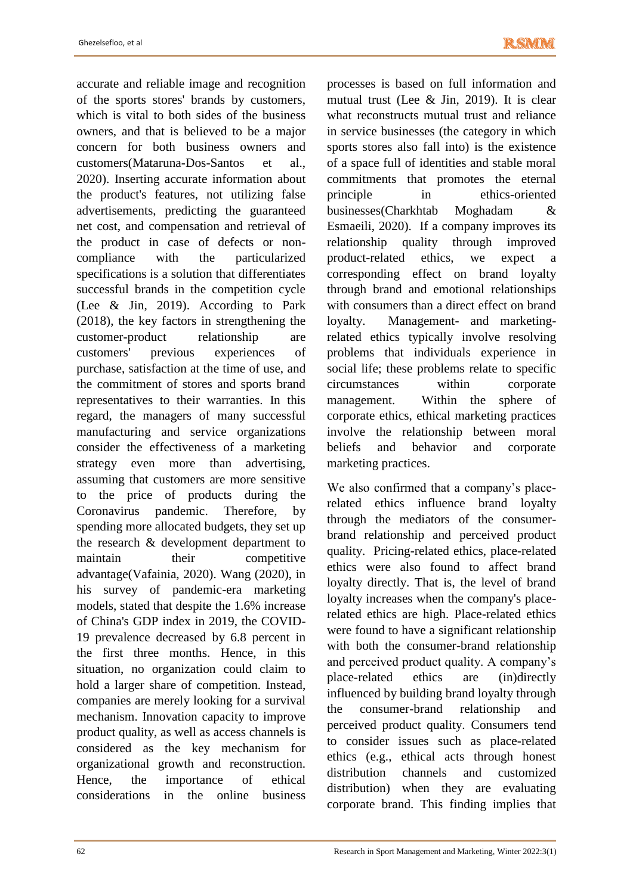accurate and reliable image and recognition of the sports stores' brands by customers, which is vital to both sides of the business owners, and that is believed to be a major concern for both business owners and customers(Mataruna-Dos-Santos et al., 2020). Inserting accurate information about the product's features, not utilizing false advertisements, predicting the guaranteed net cost, and compensation and retrieval of the product in case of defects or noncompliance with the particularized specifications is a solution that differentiates successful brands in the competition cycle (Lee & Jin, 2019). According to Park (2018), the key factors in strengthening the customer-product relationship are customers' previous experiences of purchase, satisfaction at the time of use, and the commitment of stores and sports brand representatives to their warranties. In this regard, the managers of many successful manufacturing and service organizations consider the effectiveness of a marketing strategy even more than advertising, assuming that customers are more sensitive to the price of products during the Coronavirus pandemic. Therefore, by spending more allocated budgets, they set up the research & development department to maintain their competitive advantage(Vafainia, 2020). Wang (2020), in his survey of pandemic-era marketing models, stated that despite the 1.6% increase of China's GDP index in 2019, the COVID-19 prevalence decreased by 6.8 percent in the first three months. Hence, in this situation, no organization could claim to hold a larger share of competition. Instead, companies are merely looking for a survival mechanism. Innovation capacity to improve product quality, as well as access channels is considered as the key mechanism for organizational growth and reconstruction. Hence, the importance of ethical considerations in the online business

processes is based on full information and mutual trust (Lee & Jin, 2019). It is clear what reconstructs mutual trust and reliance in service businesses (the category in which sports stores also fall into) is the existence of a space full of identities and stable moral commitments that promotes the eternal principle in ethics-oriented businesses(Charkhtab Moghadam & Esmaeili, 2020). If a company improves its relationship quality through improved product-related ethics, we expect a corresponding effect on brand loyalty through brand and emotional relationships with consumers than a direct effect on brand loyalty. Management- and marketingrelated ethics typically involve resolving problems that individuals experience in social life; these problems relate to specific circumstances within corporate management. Within the sphere of corporate ethics, ethical marketing practices involve the relationship between moral beliefs and behavior and corporate marketing practices.

We also confirmed that a company's placerelated ethics influence brand loyalty through the mediators of the consumerbrand relationship and perceived product quality. Pricing-related ethics, place-related ethics were also found to affect brand loyalty directly. That is, the level of brand loyalty increases when the company's placerelated ethics are high. Place-related ethics were found to have a significant relationship with both the consumer-brand relationship and perceived product quality. A company's place-related ethics are (in)directly influenced by building brand loyalty through the consumer-brand relationship and perceived product quality. Consumers tend to consider issues such as place-related ethics (e.g., ethical acts through honest distribution channels and customized distribution) when they are evaluating corporate brand. This finding implies that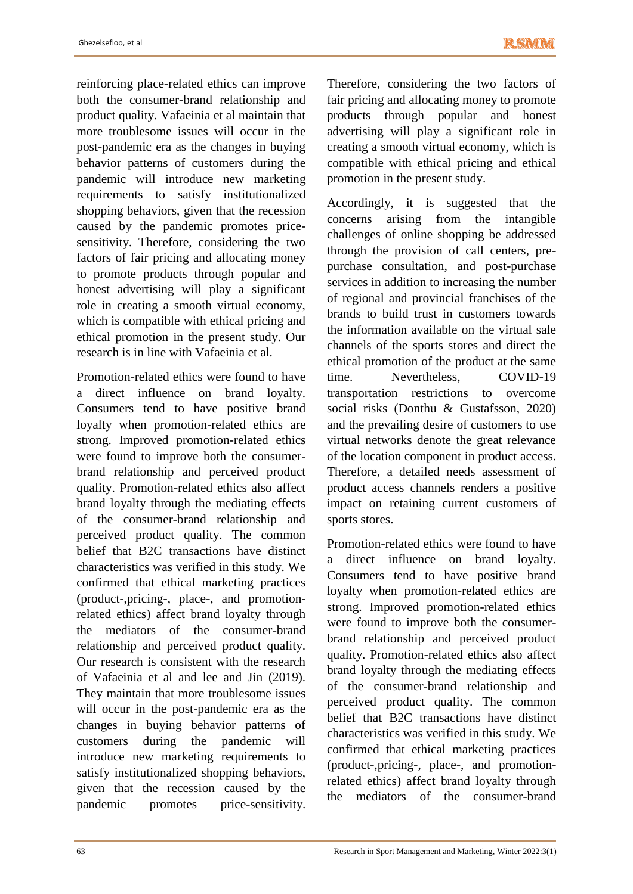reinforcing place-related ethics can improve both the consumer-brand relationship and product quality. Vafaeinia et al maintain that more troublesome issues will occur in the post-pandemic era as the changes in buying behavior patterns of customers during the pandemic will introduce new marketing requirements to satisfy institutionalized shopping behaviors, given that the recession caused by the pandemic promotes pricesensitivity. Therefore, considering the two factors of fair pricing and allocating money to promote products through popular and honest advertising will play a significant role in creating a smooth virtual economy, which is compatible with ethical pricing and ethical promotion in the present study. Our research is in line with Vafaeinia et al.

Promotion-related ethics were found to have a direct influence on brand loyalty. Consumers tend to have positive brand loyalty when promotion-related ethics are strong. Improved promotion-related ethics were found to improve both the consumerbrand relationship and perceived product quality. Promotion-related ethics also affect brand loyalty through the mediating effects of the consumer-brand relationship and perceived product quality. The common belief that B2C transactions have distinct characteristics was verified in this study. We confirmed that ethical marketing practices (product-,pricing-, place-, and promotionrelated ethics) affect brand loyalty through the mediators of the consumer-brand relationship and perceived product quality. Our research is consistent with the research of Vafaeinia et al and lee and Jin (2019). They maintain that more troublesome issues will occur in the post-pandemic era as the changes in buying behavior patterns of customers during the pandemic will introduce new marketing requirements to satisfy institutionalized shopping behaviors, given that the recession caused by the pandemic promotes price-sensitivity.

Therefore, considering the two factors of fair pricing and allocating money to promote products through popular and honest advertising will play a significant role in creating a smooth virtual economy, which is compatible with ethical pricing and ethical promotion in the present study.

Accordingly, it is suggested that the concerns arising from the intangible challenges of online shopping be addressed through the provision of call centers, prepurchase consultation, and post-purchase services in addition to increasing the number of regional and provincial franchises of the brands to build trust in customers towards the information available on the virtual sale channels of the sports stores and direct the ethical promotion of the product at the same time. Nevertheless, COVID-19 transportation restrictions to overcome social risks (Donthu & Gustafsson, 2020) and the prevailing desire of customers to use virtual networks denote the great relevance of the location component in product access. Therefore, a detailed needs assessment of product access channels renders a positive impact on retaining current customers of sports stores.

Promotion-related ethics were found to have a direct influence on brand loyalty. Consumers tend to have positive brand loyalty when promotion-related ethics are strong. Improved promotion-related ethics were found to improve both the consumerbrand relationship and perceived product quality. Promotion-related ethics also affect brand loyalty through the mediating effects of the consumer-brand relationship and perceived product quality. The common belief that B2C transactions have distinct characteristics was verified in this study. We confirmed that ethical marketing practices (product-,pricing-, place-, and promotionrelated ethics) affect brand loyalty through the mediators of the consumer-brand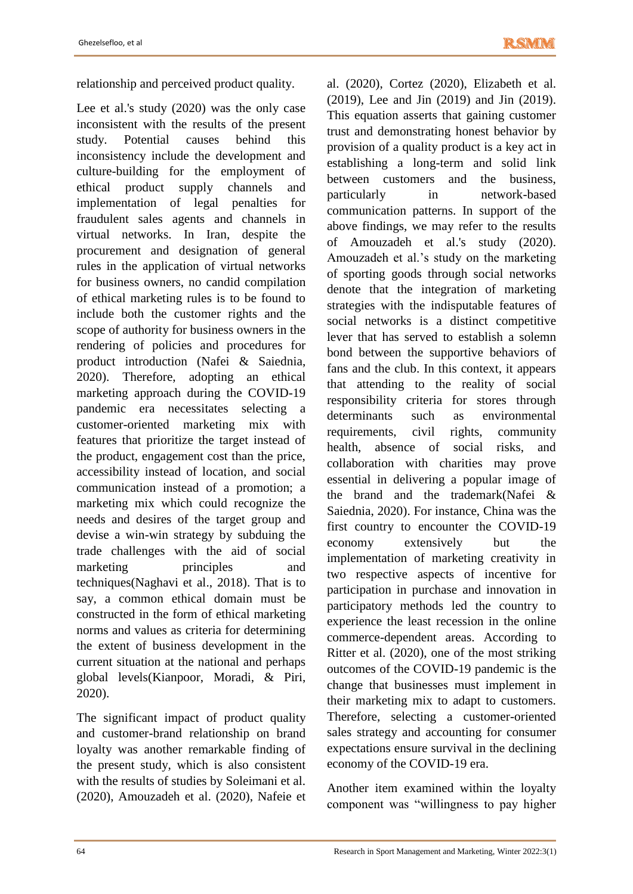relationship and perceived product quality.

Lee et al.'s study (2020) was the only case inconsistent with the results of the present study. Potential causes behind this inconsistency include the development and culture-building for the employment of ethical product supply channels and implementation of legal penalties for fraudulent sales agents and channels in virtual networks. In Iran, despite the procurement and designation of general rules in the application of virtual networks for business owners, no candid compilation of ethical marketing rules is to be found to include both the customer rights and the scope of authority for business owners in the rendering of policies and procedures for product introduction (Nafei & Saiednia, 2020). Therefore, adopting an ethical marketing approach during the COVID-19 pandemic era necessitates selecting a customer-oriented marketing mix with features that prioritize the target instead of the product, engagement cost than the price, accessibility instead of location, and social communication instead of a promotion; a marketing mix which could recognize the needs and desires of the target group and devise a win-win strategy by subduing the trade challenges with the aid of social marketing principles and techniques(Naghavi et al., 2018). That is to say, a common ethical domain must be constructed in the form of ethical marketing norms and values as criteria for determining the extent of business development in the current situation at the national and perhaps global levels(Kianpoor, Moradi, & Piri, 2020).

The significant impact of product quality and customer-brand relationship on brand loyalty was another remarkable finding of the present study, which is also consistent with the results of studies by Soleimani et al. (2020), Amouzadeh et al. (2020), Nafeie et

al. (2020), Cortez (2020), Elizabeth et al. (2019), Lee and Jin (2019) and Jin (2019). This equation asserts that gaining customer trust and demonstrating honest behavior by provision of a quality product is a key act in establishing a long-term and solid link between customers and the business, particularly in network-based communication patterns. In support of the above findings, we may refer to the results of Amouzadeh et al.'s study (2020). Amouzadeh et al.'s study on the marketing of sporting goods through social networks denote that the integration of marketing strategies with the indisputable features of social networks is a distinct competitive lever that has served to establish a solemn bond between the supportive behaviors of fans and the club. In this context, it appears that attending to the reality of social responsibility criteria for stores through determinants such as environmental requirements, civil rights, community health, absence of social risks, and collaboration with charities may prove essential in delivering a popular image of the brand and the trademark(Nafei & Saiednia, 2020). For instance, China was the first country to encounter the COVID-19 economy extensively but the implementation of marketing creativity in two respective aspects of incentive for participation in purchase and innovation in participatory methods led the country to experience the least recession in the online commerce-dependent areas. According to Ritter et al. (2020), one of the most striking outcomes of the COVID-19 pandemic is the change that businesses must implement in their marketing mix to adapt to customers. Therefore, selecting a customer-oriented sales strategy and accounting for consumer expectations ensure survival in the declining economy of the COVID-19 era.

Another item examined within the loyalty component was "willingness to pay higher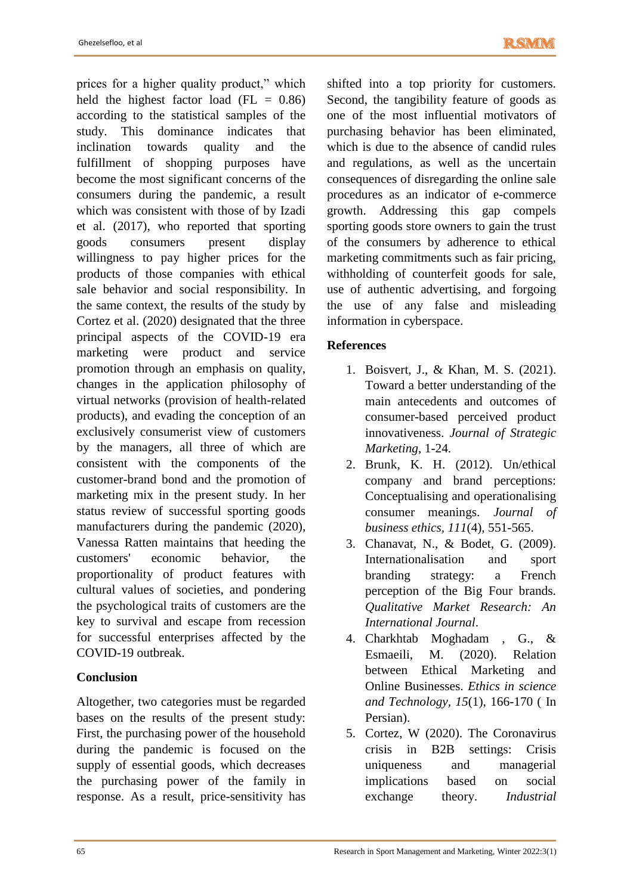prices for a higher quality product," which held the highest factor load ( $FL = 0.86$ ) according to the statistical samples of the study. This dominance indicates that inclination towards quality and the fulfillment of shopping purposes have become the most significant concerns of the consumers during the pandemic, a result which was consistent with those of by Izadi et al. (2017), who reported that sporting goods consumers present display willingness to pay higher prices for the products of those companies with ethical sale behavior and social responsibility. In the same context, the results of the study by Cortez et al. (2020) designated that the three principal aspects of the COVID-19 era marketing were product and service promotion through an emphasis on quality, changes in the application philosophy of virtual networks (provision of health-related products), and evading the conception of an exclusively consumerist view of customers by the managers, all three of which are consistent with the components of the customer-brand bond and the promotion of marketing mix in the present study. In her status review of successful sporting goods manufacturers during the pandemic (2020), Vanessa Ratten maintains that heeding the customers' economic behavior, the proportionality of product features with cultural values of societies, and pondering the psychological traits of customers are the key to survival and escape from recession for successful enterprises affected by the COVID-19 outbreak.

# **Conclusion**

Altogether, two categories must be regarded bases on the results of the present study: First, the purchasing power of the household during the pandemic is focused on the supply of essential goods, which decreases the purchasing power of the family in response. As a result, price-sensitivity has

shifted into a top priority for customers. Second, the tangibility feature of goods as one of the most influential motivators of purchasing behavior has been eliminated, which is due to the absence of candid rules and regulations, as well as the uncertain consequences of disregarding the online sale procedures as an indicator of e-commerce growth. Addressing this gap compels sporting goods store owners to gain the trust of the consumers by adherence to ethical marketing commitments such as fair pricing, withholding of counterfeit goods for sale, use of authentic advertising, and forgoing the use of any false and misleading information in cyberspace.

# **References**

- 1. Boisvert, J., & Khan, M. S. (2021). Toward a better understanding of the main antecedents and outcomes of consumer-based perceived product innovativeness. *Journal of Strategic Marketing*, 1-24.
- 2. Brunk, K. H. (2012). Un/ethical company and brand perceptions: Conceptualising and operationalising consumer meanings. *Journal of business ethics, 111*(4), 551-565.
- 3. Chanavat, N., & Bodet, G. (2009). Internationalisation and sport branding strategy: a French perception of the Big Four brands. *Qualitative Market Research: An International Journal*.
- 4. Charkhtab Moghadam , G., & Esmaeili, M. (2020). Relation between Ethical Marketing and Online Businesses. *Ethics in science and Technology, 15*(1), 166-170 ( In Persian).
- 5. Cortez, W (2020). The Coronavirus crisis in B2B settings: Crisis uniqueness and managerial implications based on social exchange theory. *Industrial*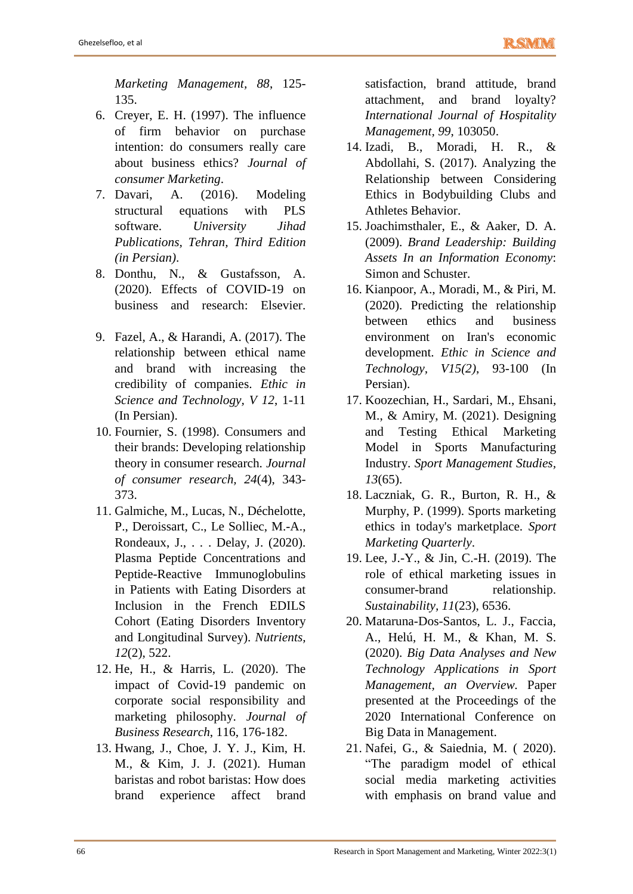*Marketing Management, 88*, 125- 135.

- 6. Creyer, E. H. (1997). The influence of firm behavior on purchase intention: do consumers really care about business ethics? *Journal of consumer Marketing*.
- 7. Davari, A. (2016). Modeling structural equations with PLS software. *University Jihad Publications, Tehran, Third Edition (in Persian)*.
- 8. Donthu, N., & Gustafsson, A. (2020). Effects of COVID-19 on business and research: Elsevier.
- 9. Fazel, A., & Harandi, A. (2017). The relationship between ethical name and brand with increasing the credibility of companies. *Ethic in Science and Technology, V 12*, 1-11 (In Persian).
- 10. Fournier, S. (1998). Consumers and their brands: Developing relationship theory in consumer research. *Journal of consumer research, 24*(4), 343- 373.
- 11. Galmiche, M., Lucas, N., Déchelotte, P., Deroissart, C., Le Solliec, M.-A., Rondeaux, J., . . . Delay, J. (2020). Plasma Peptide Concentrations and Peptide-Reactive Immunoglobulins in Patients with Eating Disorders at Inclusion in the French EDILS Cohort (Eating Disorders Inventory and Longitudinal Survey). *Nutrients, 12*(2), 522.
- 12. He, H., & Harris, L. (2020). The impact of Covid-19 pandemic on corporate social responsibility and marketing philosophy. *Journal of Business Research*, 116, 176-182.
- 13. Hwang, J., Choe, J. Y. J., Kim, H. M., & Kim, J. J. (2021). Human baristas and robot baristas: How does brand experience affect brand

satisfaction, brand attitude, brand attachment, and brand loyalty? *International Journal of Hospitality Management, 99*, 103050.

- 14. Izadi, B., Moradi, H. R., & Abdollahi, S. (2017). Analyzing the Relationship between Considering Ethics in Bodybuilding Clubs and Athletes Behavior.
- 15. Joachimsthaler, E., & Aaker, D. A. (2009). *Brand Leadership: Building Assets In an Information Economy*: Simon and Schuster.
- 16. Kianpoor, A., Moradi, M., & Piri, M. (2020). Predicting the relationship between ethics and business environment on Iran's economic development. *Ethic in Science and Technology, V15(2)*, 93-100 (In Persian).
- 17. Koozechian, H., Sardari, M., Ehsani, M., & Amiry, M. (2021). Designing and Testing Ethical Marketing Model in Sports Manufacturing Industry. *Sport Management Studies, 13*(65).
- 18. Laczniak, G. R., Burton, R. H., & Murphy, P. (1999). Sports marketing ethics in today's marketplace. *Sport Marketing Quarterly*.
- 19. Lee, J.-Y., & Jin, C.-H. (2019). The role of ethical marketing issues in consumer-brand relationship. *Sustainability, 11*(23), 6536.
- 20. Mataruna-Dos-Santos, L. J., Faccia, A., Helú, H. M., & Khan, M. S. (2020). *Big Data Analyses and New Technology Applications in Sport Management, an Overview.* Paper presented at the Proceedings of the 2020 International Conference on Big Data in Management.
- 21. Nafei, G., & Saiednia, M. ( 2020). "The paradigm model of ethical social media marketing activities with emphasis on brand value and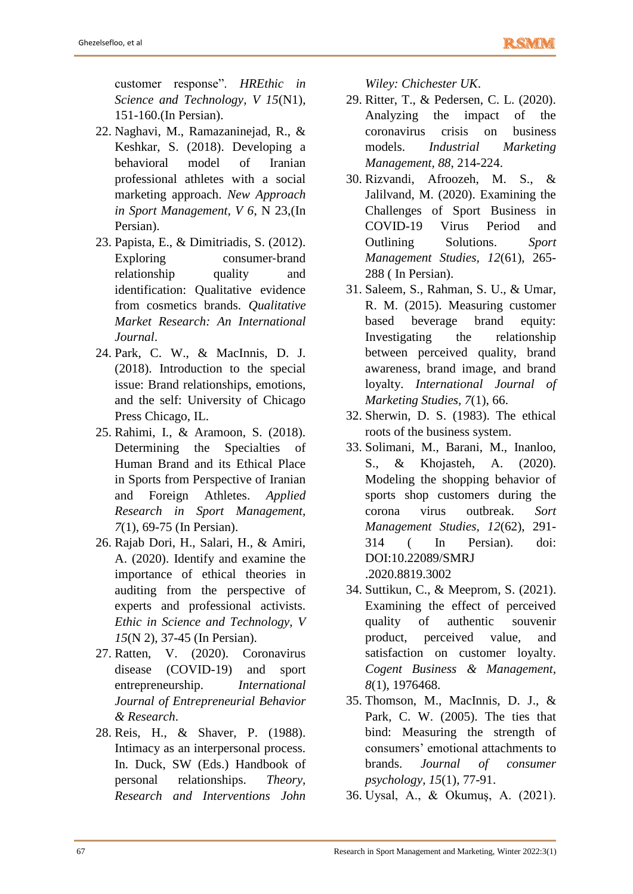customer response". *HREthic in Science and Technology, V 15*(N1), 151-160.(In Persian).

- 22. Naghavi, M., Ramazaninejad, R., & Keshkar, S. (2018). Developing a behavioral model of Iranian professional athletes with a social marketing approach. *New Approach in Sport Management, V 6*, N 23,(In Persian).
- 23. Papista, E., & Dimitriadis, S. (2012). Exploring consumer-brand relationship quality and identification: Qualitative evidence from cosmetics brands. *Qualitative Market Research: An International Journal*.
- 24. Park, C. W., & MacInnis, D. J. (2018). Introduction to the special issue: Brand relationships, emotions, and the self: University of Chicago Press Chicago, IL.
- 25. Rahimi, I., & Aramoon, S. (2018). Determining the Specialties of Human Brand and its Ethical Place in Sports from Perspective of Iranian and Foreign Athletes. *Applied Research in Sport Management, 7*(1), 69-75 (In Persian).
- 26. Rajab Dori, H., Salari, H., & Amiri, A. (2020). Identify and examine the importance of ethical theories in auditing from the perspective of experts and professional activists. *Ethic in Science and Technology, V 15*(N 2), 37-45 (In Persian).
- 27. Ratten, V. (2020). Coronavirus disease (COVID-19) and sport entrepreneurship. *International Journal of Entrepreneurial Behavior & Research*.
- 28. Reis, H., & Shaver, P. (1988). Intimacy as an interpersonal process. In. Duck, SW (Eds.) Handbook of personal relationships. *Theory, Research and Interventions John*

*Wiley: Chichester UK*.

- 29. Ritter, T., & Pedersen, C. L. (2020). Analyzing the impact of the coronavirus crisis on business models. *Industrial Marketing Management, 88*, 214-224.
- 30. Rizvandi, Afroozeh, M. S., & Jalilvand, M. (2020). Examining the Challenges of Sport Business in COVID-19 Virus Period and Outlining Solutions. *Sport Management Studies, 12*(61), 265- 288 ( In Persian).
- 31. Saleem, S., Rahman, S. U., & Umar, R. M. (2015). Measuring customer based beverage brand equity: Investigating the relationship between perceived quality, brand awareness, brand image, and brand loyalty. *International Journal of Marketing Studies, 7*(1), 66.
- 32. Sherwin, D. S. (1983). The ethical roots of the business system.
- 33. Solimani, M., Barani, M., Inanloo, S., & Khojasteh, A. (2020). Modeling the shopping behavior of sports shop customers during the corona virus outbreak. *Sort Management Studies, 12*(62), 291- 314 ( In Persian). doi: DOI:10.22089/SMRJ .2020.8819.3002
- 34. Suttikun, C., & Meeprom, S. (2021). Examining the effect of perceived quality of authentic souvenir product, perceived value, and satisfaction on customer loyalty. *Cogent Business & Management, 8*(1), 1976468.
- 35. Thomson, M., MacInnis, D. J., & Park, C. W. (2005). The ties that bind: Measuring the strength of consumers' emotional attachments to brands. *Journal of consumer psychology, 15*(1), 77-91.
- 36. Uysal, A., & Okumuş, A. (2021).